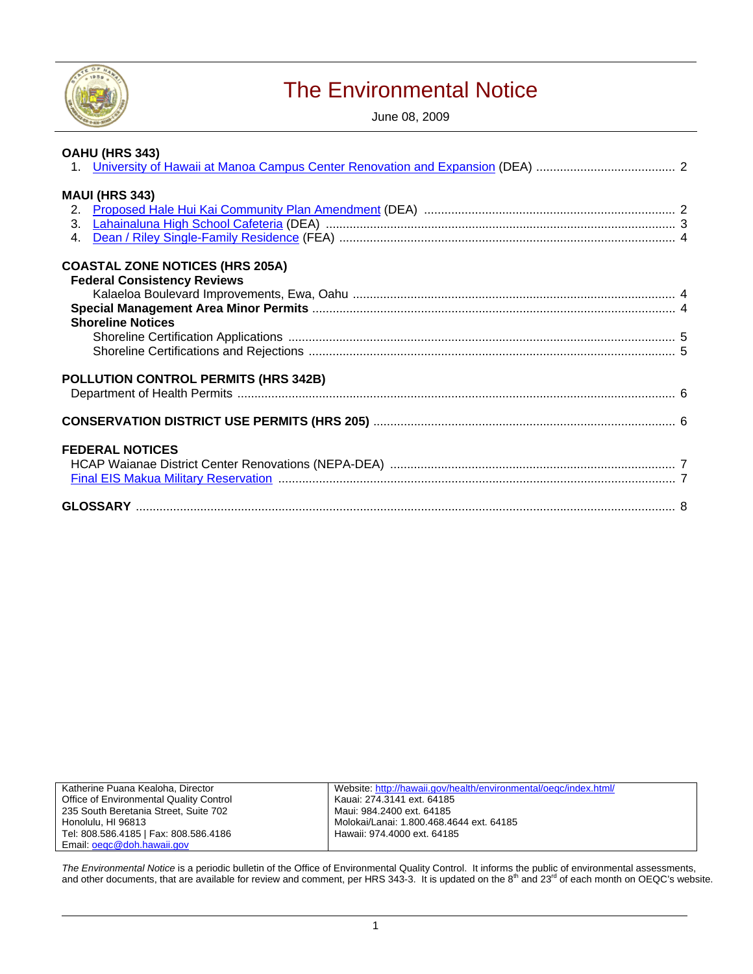

# The Environmental Notice

June 08, 2009

| OAHU (HRS 343)                         |
|----------------------------------------|
|                                        |
| <b>MAUI (HRS 343)</b>                  |
|                                        |
|                                        |
|                                        |
| 4.                                     |
| <b>COASTAL ZONE NOTICES (HRS 205A)</b> |
| <b>Federal Consistency Reviews</b>     |
|                                        |
|                                        |
| <b>Shoreline Notices</b>               |
|                                        |
|                                        |
|                                        |
| POLLUTION CONTROL PERMITS (HRS 342B)   |
|                                        |
|                                        |
|                                        |
| <b>FEDERAL NOTICES</b>                 |
|                                        |
|                                        |
|                                        |
|                                        |

| Katherine Puana Kealoha, Director       | Website: http://hawaii.gov/health/environmental/oegc/index.html/ |
|-----------------------------------------|------------------------------------------------------------------|
| Office of Environmental Quality Control | Kauai: 274.3141 ext. 64185                                       |
| 235 South Beretania Street, Suite 702   | Maui: 984.2400 ext. 64185                                        |
| Honolulu, HI 96813                      | Molokai/Lanai: 1.800.468.4644 ext. 64185                         |
| Tel: 808.586.4185   Fax: 808.586.4186   | Hawaii: 974.4000 ext. 64185                                      |
| Email: oegc@doh.hawaii.gov              |                                                                  |

The Environmental Notice is a periodic bulletin of the Office of Environmental Quality Control. It informs the public of environmental assessments,<br>and other documents, that are available for review and comment, per HRS 34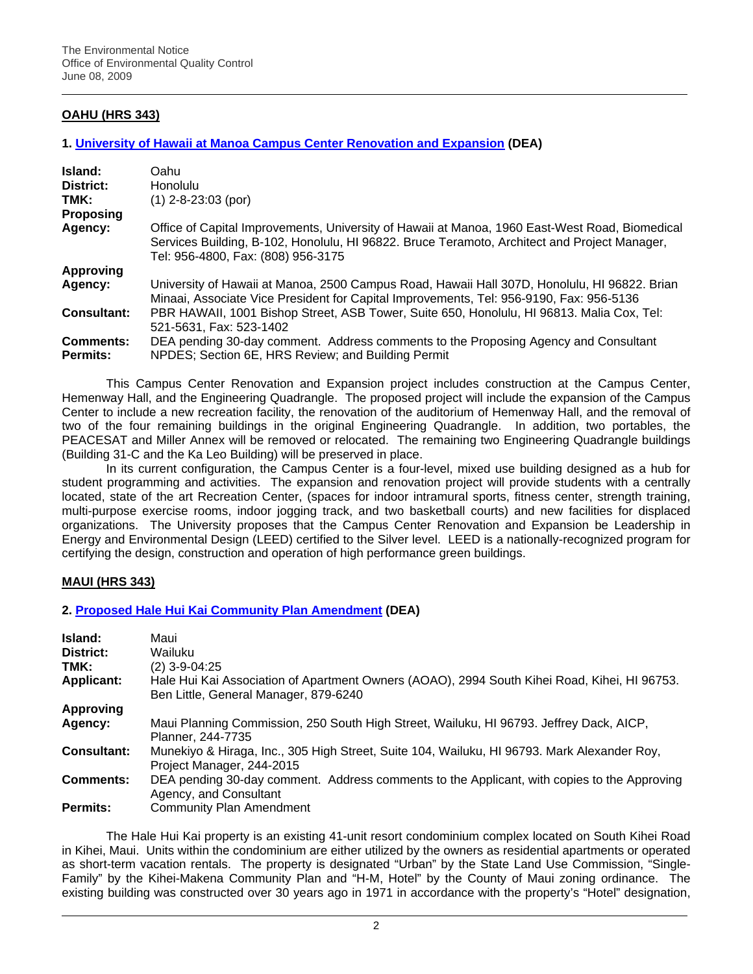# **OAHU (HRS 343)**

#### **1. [University of Hawaii at Manoa Campus Center Renovation and Expansion](http://oeqc.doh.hawaii.gov/Shared%20Documents/EA_and_EIS_Online_Library/Oahu/2000s/2009-06-08-OA-DEA-UH-Manoa-Campus-Center.pdf) (DEA)**

| Island:<br>District:<br>TMK: | Oahu<br><b>Honolulu</b><br>$(1)$ 2-8-23:03 (por)                                                                                                                                                                                     |
|------------------------------|--------------------------------------------------------------------------------------------------------------------------------------------------------------------------------------------------------------------------------------|
| <b>Proposing</b>             |                                                                                                                                                                                                                                      |
| Agency:                      | Office of Capital Improvements, University of Hawaii at Manoa, 1960 East-West Road, Biomedical<br>Services Building, B-102, Honolulu, HI 96822. Bruce Teramoto, Architect and Project Manager,<br>Tel: 956-4800, Fax: (808) 956-3175 |
| <b>Approving</b>             |                                                                                                                                                                                                                                      |
| Agency:                      | University of Hawaii at Manoa, 2500 Campus Road, Hawaii Hall 307D, Honolulu, HI 96822. Brian<br>Minaai, Associate Vice President for Capital Improvements, Tel: 956-9190, Fax: 956-5136                                              |
| <b>Consultant:</b>           | PBR HAWAII, 1001 Bishop Street, ASB Tower, Suite 650, Honolulu, HI 96813. Malia Cox, Tel:<br>521-5631, Fax: 523-1402                                                                                                                 |
| <b>Comments:</b>             | DEA pending 30-day comment. Address comments to the Proposing Agency and Consultant                                                                                                                                                  |
| <b>Permits:</b>              | NPDES; Section 6E, HRS Review; and Building Permit                                                                                                                                                                                   |

This Campus Center Renovation and Expansion project includes construction at the Campus Center, Hemenway Hall, and the Engineering Quadrangle. The proposed project will include the expansion of the Campus Center to include a new recreation facility, the renovation of the auditorium of Hemenway Hall, and the removal of two of the four remaining buildings in the original Engineering Quadrangle. In addition, two portables, the PEACESAT and Miller Annex will be removed or relocated. The remaining two Engineering Quadrangle buildings (Building 31-C and the Ka Leo Building) will be preserved in place.

In its current configuration, the Campus Center is a four-level, mixed use building designed as a hub for student programming and activities. The expansion and renovation project will provide students with a centrally located, state of the art Recreation Center, (spaces for indoor intramural sports, fitness center, strength training, multi-purpose exercise rooms, indoor jogging track, and two basketball courts) and new facilities for displaced organizations. The University proposes that the Campus Center Renovation and Expansion be Leadership in Energy and Environmental Design (LEED) certified to the Silver level. LEED is a nationally-recognized program for certifying the design, construction and operation of high performance green buildings.

## **MAUI (HRS 343)**

#### **2. [Proposed Hale Hui Kai Community Plan Amendment](http://oeqc.doh.hawaii.gov/Shared%20Documents/EA_and_EIS_Online_Library/Maui/2000s/2009-06-08-MA-DEA-Hale-Hui-Kai-Kihei.pdf) (DEA)**

| Island:            | Maui                                                                                                                                  |  |  |  |
|--------------------|---------------------------------------------------------------------------------------------------------------------------------------|--|--|--|
| District:          | Wailuku                                                                                                                               |  |  |  |
| TMK:               | (2) 3-9-04:25                                                                                                                         |  |  |  |
| <b>Applicant:</b>  | Hale Hui Kai Association of Apartment Owners (AOAO), 2994 South Kihei Road, Kihei, HI 96753.<br>Ben Little, General Manager, 879-6240 |  |  |  |
| <b>Approving</b>   |                                                                                                                                       |  |  |  |
| Agency:            | Maui Planning Commission, 250 South High Street, Wailuku, HI 96793. Jeffrey Dack, AICP,<br>Planner, 244-7735                          |  |  |  |
| <b>Consultant:</b> | Munekiyo & Hiraga, Inc., 305 High Street, Suite 104, Wailuku, HI 96793. Mark Alexander Roy,<br>Project Manager, 244-2015              |  |  |  |
| <b>Comments:</b>   | DEA pending 30-day comment. Address comments to the Applicant, with copies to the Approving<br>Agency, and Consultant                 |  |  |  |
| <b>Permits:</b>    | <b>Community Plan Amendment</b>                                                                                                       |  |  |  |

The Hale Hui Kai property is an existing 41-unit resort condominium complex located on South Kihei Road in Kihei, Maui. Units within the condominium are either utilized by the owners as residential apartments or operated as short-term vacation rentals. The property is designated "Urban" by the State Land Use Commission, "Single-Family" by the Kihei-Makena Community Plan and "H-M, Hotel" by the County of Maui zoning ordinance. The existing building was constructed over 30 years ago in 1971 in accordance with the property's "Hotel" designation,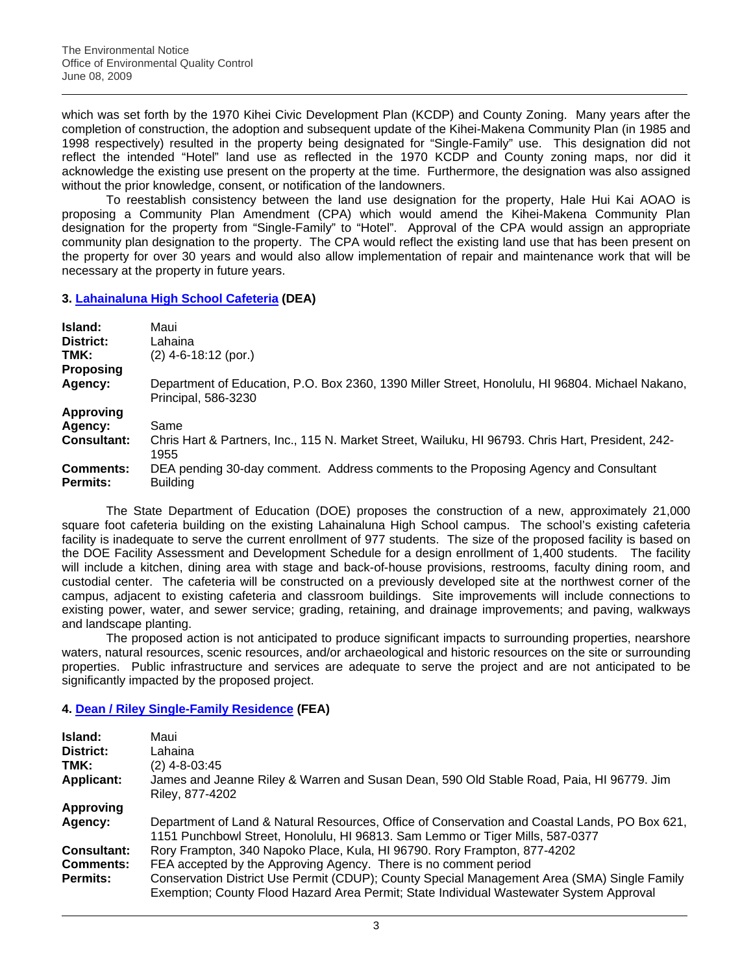which was set forth by the 1970 Kihei Civic Development Plan (KCDP) and County Zoning. Many years after the completion of construction, the adoption and subsequent update of the Kihei-Makena Community Plan (in 1985 and 1998 respectively) resulted in the property being designated for "Single-Family" use. This designation did not reflect the intended "Hotel" land use as reflected in the 1970 KCDP and County zoning maps, nor did it acknowledge the existing use present on the property at the time. Furthermore, the designation was also assigned without the prior knowledge, consent, or notification of the landowners.

To reestablish consistency between the land use designation for the property, Hale Hui Kai AOAO is proposing a Community Plan Amendment (CPA) which would amend the Kihei-Makena Community Plan designation for the property from "Single-Family" to "Hotel". Approval of the CPA would assign an appropriate community plan designation to the property. The CPA would reflect the existing land use that has been present on the property for over 30 years and would also allow implementation of repair and maintenance work that will be necessary at the property in future years.

# **3. [Lahainaluna High School Cafeteria](http://oeqc.doh.hawaii.gov/Shared%20Documents/EA_and_EIS_Online_Library/Maui/2000s/2009-06-08-MA-DEA-Lahainaluna-High-Cafeteria.pdf) (DEA)**

| Island:            | Maui                                                                                                                   |
|--------------------|------------------------------------------------------------------------------------------------------------------------|
| District:          | Lahaina                                                                                                                |
| TMK:               | $(2)$ 4-6-18:12 (por.)                                                                                                 |
| <b>Proposing</b>   |                                                                                                                        |
| Agency:            | Department of Education, P.O. Box 2360, 1390 Miller Street, Honolulu, HI 96804. Michael Nakano,<br>Principal, 586-3230 |
| <b>Approving</b>   |                                                                                                                        |
| Agency:            | Same                                                                                                                   |
| <b>Consultant:</b> | Chris Hart & Partners, Inc., 115 N. Market Street, Wailuku, HI 96793. Chris Hart, President, 242-<br>1955              |
| <b>Comments:</b>   | DEA pending 30-day comment. Address comments to the Proposing Agency and Consultant                                    |
| <b>Permits:</b>    | <b>Building</b>                                                                                                        |

The State Department of Education (DOE) proposes the construction of a new, approximately 21,000 square foot cafeteria building on the existing Lahainaluna High School campus. The school's existing cafeteria facility is inadequate to serve the current enrollment of 977 students. The size of the proposed facility is based on the DOE Facility Assessment and Development Schedule for a design enrollment of 1,400 students. The facility will include a kitchen, dining area with stage and back-of-house provisions, restrooms, faculty dining room, and custodial center. The cafeteria will be constructed on a previously developed site at the northwest corner of the campus, adjacent to existing cafeteria and classroom buildings. Site improvements will include connections to existing power, water, and sewer service; grading, retaining, and drainage improvements; and paving, walkways and landscape planting.

The proposed action is not anticipated to produce significant impacts to surrounding properties, nearshore waters, natural resources, scenic resources, and/or archaeological and historic resources on the site or surrounding properties. Public infrastructure and services are adequate to serve the project and are not anticipated to be significantly impacted by the proposed project.

# **4. [Dean / Riley Single-Family Residence](http://oeqc.doh.hawaii.gov/Shared%20Documents/EA_and_EIS_Online_Library/Maui/2000s/2009-06-08-MA-FEA-Dean-Riley-Residence.pdf) (FEA)**

| Island:<br>District:<br>TMK:<br><b>Applicant:</b> | Maui<br>Lahaina<br>(2) 4-8-03:45<br>James and Jeanne Riley & Warren and Susan Dean, 590 Old Stable Road, Paia, HI 96779. Jim<br>Riley, 877-4202                                        |
|---------------------------------------------------|----------------------------------------------------------------------------------------------------------------------------------------------------------------------------------------|
| Approving                                         |                                                                                                                                                                                        |
| Agency:                                           | Department of Land & Natural Resources, Office of Conservation and Coastal Lands, PO Box 621,<br>1151 Punchbowl Street, Honolulu, HI 96813. Sam Lemmo or Tiger Mills, 587-0377         |
| <b>Consultant:</b>                                | Rory Frampton, 340 Napoko Place, Kula, HI 96790. Rory Frampton, 877-4202                                                                                                               |
| <b>Comments:</b>                                  | FEA accepted by the Approving Agency. There is no comment period                                                                                                                       |
| <b>Permits:</b>                                   | Conservation District Use Permit (CDUP); County Special Management Area (SMA) Single Family<br>Exemption; County Flood Hazard Area Permit; State Individual Wastewater System Approval |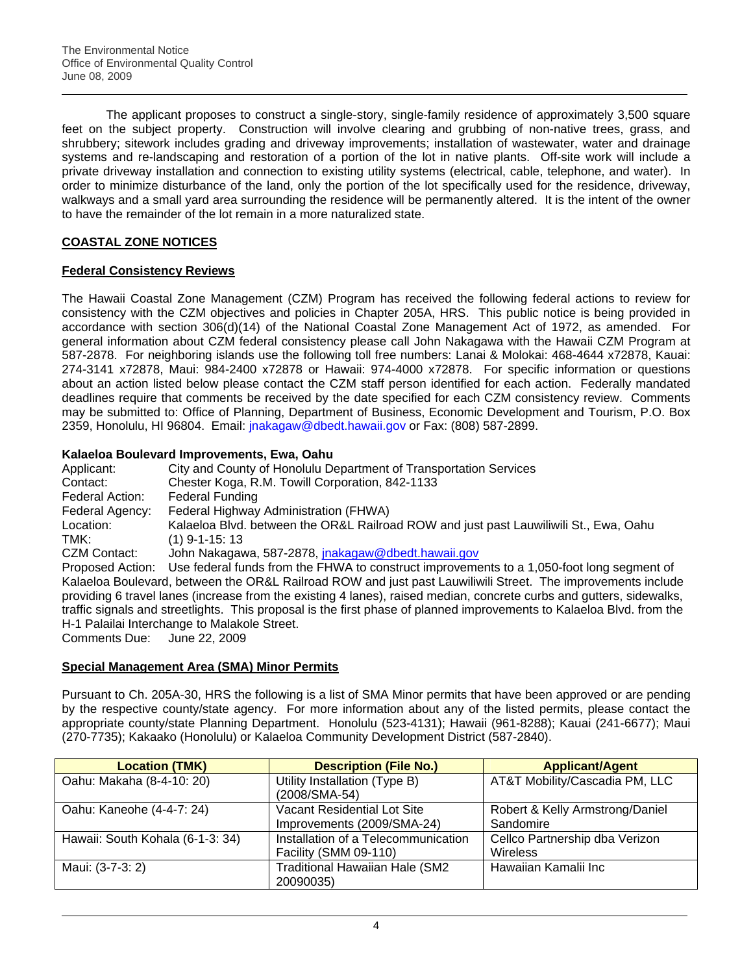The applicant proposes to construct a single-story, single-family residence of approximately 3,500 square feet on the subject property. Construction will involve clearing and grubbing of non-native trees, grass, and shrubbery; sitework includes grading and driveway improvements; installation of wastewater, water and drainage systems and re-landscaping and restoration of a portion of the lot in native plants. Off-site work will include a private driveway installation and connection to existing utility systems (electrical, cable, telephone, and water). In order to minimize disturbance of the land, only the portion of the lot specifically used for the residence, driveway, walkways and a small yard area surrounding the residence will be permanently altered. It is the intent of the owner to have the remainder of the lot remain in a more naturalized state.

# **COASTAL ZONE NOTICES**

## **Federal Consistency Reviews**

The Hawaii Coastal Zone Management (CZM) Program has received the following federal actions to review for consistency with the CZM objectives and policies in Chapter 205A, HRS. This public notice is being provided in accordance with section 306(d)(14) of the National Coastal Zone Management Act of 1972, as amended. For general information about CZM federal consistency please call John Nakagawa with the Hawaii CZM Program at 587-2878. For neighboring islands use the following toll free numbers: Lanai & Molokai: 468-4644 x72878, Kauai: 274-3141 x72878, Maui: 984-2400 x72878 or Hawaii: 974-4000 x72878. For specific information or questions about an action listed below please contact the CZM staff person identified for each action. Federally mandated deadlines require that comments be received by the date specified for each CZM consistency review. Comments may be submitted to: Office of Planning, Department of Business, Economic Development and Tourism, P.O. Box 2359, Honolulu, HI 96804. Email: [jnakagaw@dbedt.hawaii.gov](mailto:jnakagaw@dbedt.hawaii.gov) or Fax: (808) 587-2899.

## **Kalaeloa Boulevard Improvements, Ewa, Oahu**

| Applicant:                  | City and County of Honolulu Department of Transportation Services                                                                                                                                                                                                                                                                                                                                             |
|-----------------------------|---------------------------------------------------------------------------------------------------------------------------------------------------------------------------------------------------------------------------------------------------------------------------------------------------------------------------------------------------------------------------------------------------------------|
| Contact:                    | Chester Koga, R.M. Towill Corporation, 842-1133                                                                                                                                                                                                                                                                                                                                                               |
| Federal Action:             | <b>Federal Funding</b>                                                                                                                                                                                                                                                                                                                                                                                        |
| Federal Agency:             | Federal Highway Administration (FHWA)                                                                                                                                                                                                                                                                                                                                                                         |
| Location:                   | Kalaeloa Blvd. between the OR&L Railroad ROW and just past Lauwiliwili St., Ewa, Oahu                                                                                                                                                                                                                                                                                                                         |
| TMK:                        | $(1)$ 9-1-15: 13                                                                                                                                                                                                                                                                                                                                                                                              |
| CZM Contact:                | John Nakagawa, 587-2878, jnakagaw@dbedt.hawaii.gov                                                                                                                                                                                                                                                                                                                                                            |
|                             | Proposed Action: Use federal funds from the FHWA to construct improvements to a 1,050-foot long segment of                                                                                                                                                                                                                                                                                                    |
| Comments Due: June 22, 2009 | Kalaeloa Boulevard, between the OR&L Railroad ROW and just past Lauwiliwili Street. The improvements include<br>providing 6 travel lanes (increase from the existing 4 lanes), raised median, concrete curbs and gutters, sidewalks,<br>traffic signals and streetlights. This proposal is the first phase of planned improvements to Kalaeloa Blvd. from the<br>H-1 Palailai Interchange to Malakole Street. |
|                             |                                                                                                                                                                                                                                                                                                                                                                                                               |

## **Special Management Area (SMA) Minor Permits**

Pursuant to Ch. 205A-30, HRS the following is a list of SMA Minor permits that have been approved or are pending by the respective county/state agency. For more information about any of the listed permits, please contact the appropriate county/state Planning Department. Honolulu (523-4131); Hawaii (961-8288); Kauai (241-6677); Maui (270-7735); Kakaako (Honolulu) or Kalaeloa Community Development District (587-2840).

| <b>Location (TMK)</b>            | <b>Description (File No.)</b>         | <b>Applicant/Agent</b>          |
|----------------------------------|---------------------------------------|---------------------------------|
| Oahu: Makaha (8-4-10: 20)        | Utility Installation (Type B)         | AT&T Mobility/Cascadia PM, LLC  |
|                                  | (2008/SMA-54)                         |                                 |
| Oahu: Kaneohe (4-4-7: 24)        | Vacant Residential Lot Site           | Robert & Kelly Armstrong/Daniel |
|                                  | Improvements (2009/SMA-24)            | Sandomire                       |
| Hawaii: South Kohala (6-1-3: 34) | Installation of a Telecommunication   | Cellco Partnership dba Verizon  |
|                                  | Facility (SMM 09-110)                 | Wireless                        |
| Maui: (3-7-3: 2)                 | <b>Traditional Hawaiian Hale (SM2</b> | Hawaiian Kamalii Inc            |
|                                  | 20090035)                             |                                 |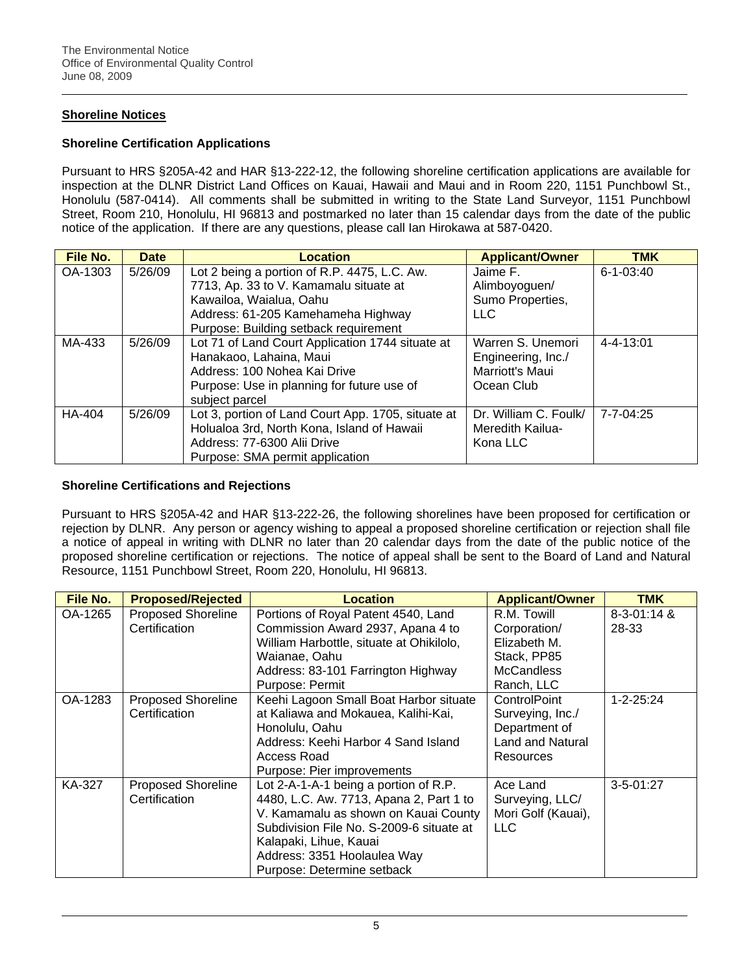# **Shoreline Notices**

## **Shoreline Certification Applications**

Pursuant to HRS §205A-42 and HAR §13-222-12, the following shoreline certification applications are available for inspection at the DLNR District Land Offices on Kauai, Hawaii and Maui and in Room 220, 1151 Punchbowl St., Honolulu (587-0414). All comments shall be submitted in writing to the State Land Surveyor, 1151 Punchbowl Street, Room 210, Honolulu, HI 96813 and postmarked no later than 15 calendar days from the date of the public notice of the application. If there are any questions, please call Ian Hirokawa at 587-0420.

| File No. | <b>Date</b> | Location                                           | <b>Applicant/Owner</b> | <b>TMK</b>      |
|----------|-------------|----------------------------------------------------|------------------------|-----------------|
| OA-1303  | 5/26/09     | Lot 2 being a portion of R.P. 4475, L.C. Aw.       | Jaime F.               | $6 - 1 - 03:40$ |
|          |             | 7713, Ap. 33 to V. Kamamalu situate at             | Alimboyoguen/          |                 |
|          |             | Kawailoa, Waialua, Oahu                            | Sumo Properties,       |                 |
|          |             | Address: 61-205 Kamehameha Highway                 | <b>LLC</b>             |                 |
|          |             | Purpose: Building setback requirement              |                        |                 |
| MA-433   | 5/26/09     | Lot 71 of Land Court Application 1744 situate at   | Warren S. Unemori      | $4 - 4 - 13:01$ |
|          |             | Hanakaoo, Lahaina, Maui                            | Engineering, Inc./     |                 |
|          |             | Address: 100 Nohea Kai Drive                       | Marriott's Maui        |                 |
|          |             | Purpose: Use in planning for future use of         | Ocean Club             |                 |
|          |             | subject parcel                                     |                        |                 |
| HA-404   | 5/26/09     | Lot 3, portion of Land Court App. 1705, situate at | Dr. William C. Foulk/  | $7 - 7 - 04:25$ |
|          |             | Holualoa 3rd, North Kona, Island of Hawaii         | Meredith Kailua-       |                 |
|          |             | Address: 77-6300 Alii Drive                        | Kona LLC               |                 |
|          |             | Purpose: SMA permit application                    |                        |                 |

### **Shoreline Certifications and Rejections**

Pursuant to HRS §205A-42 and HAR §13-222-26, the following shorelines have been proposed for certification or rejection by DLNR. Any person or agency wishing to appeal a proposed shoreline certification or rejection shall file a notice of appeal in writing with DLNR no later than 20 calendar days from the date of the public notice of the proposed shoreline certification or rejections. The notice of appeal shall be sent to the Board of Land and Natural Resource, 1151 Punchbowl Street, Room 220, Honolulu, HI 96813.

| File No. | <b>Proposed/Rejected</b>  | <b>Location</b>                          | <b>Applicant/Owner</b>  | <b>TMK</b>          |
|----------|---------------------------|------------------------------------------|-------------------------|---------------------|
| OA-1265  | <b>Proposed Shoreline</b> | Portions of Royal Patent 4540, Land      | R.M. Towill             | $8 - 3 - 01$ : 14 & |
|          | Certification             | Commission Award 2937, Apana 4 to        | Corporation/            | 28-33               |
|          |                           | William Harbottle, situate at Ohikilolo, | Elizabeth M.            |                     |
|          |                           | Waianae, Oahu                            | Stack, PP85             |                     |
|          |                           | Address: 83-101 Farrington Highway       | <b>McCandless</b>       |                     |
|          |                           | Purpose: Permit                          | Ranch, LLC              |                     |
| OA-1283  | <b>Proposed Shoreline</b> | Keehi Lagoon Small Boat Harbor situate   | ControlPoint            | $1 - 2 - 25:24$     |
|          | Certification             | at Kaliawa and Mokauea, Kalihi-Kai,      | Surveying, Inc./        |                     |
|          |                           | Honolulu, Oahu                           | Department of           |                     |
|          |                           | Address: Keehi Harbor 4 Sand Island      | <b>Land and Natural</b> |                     |
|          |                           | Access Road                              | Resources               |                     |
|          |                           | Purpose: Pier improvements               |                         |                     |
| KA-327   | <b>Proposed Shoreline</b> | Lot 2-A-1-A-1 being a portion of R.P.    | Ace Land                | $3 - 5 - 01:27$     |
|          | Certification             | 4480, L.C. Aw. 7713, Apana 2, Part 1 to  | Surveying, LLC/         |                     |
|          |                           | V. Kamamalu as shown on Kauai County     | Mori Golf (Kauai),      |                     |
|          |                           | Subdivision File No. S-2009-6 situate at | <b>LLC</b>              |                     |
|          |                           | Kalapaki, Lihue, Kauai                   |                         |                     |
|          |                           | Address: 3351 Hoolaulea Way              |                         |                     |
|          |                           | Purpose: Determine setback               |                         |                     |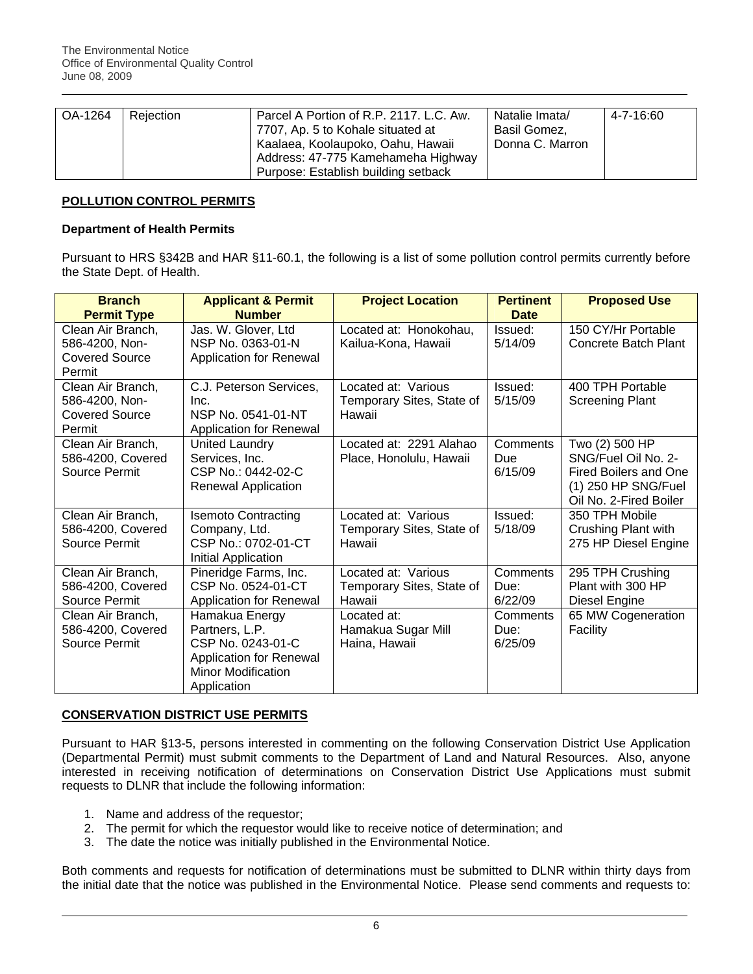| OA-1264 | Rejection | Parcel A Portion of R.P. 2117, L.C. Aw. | Natalie Imata/  | 4-7-16:60 |
|---------|-----------|-----------------------------------------|-----------------|-----------|
|         |           | 7707, Ap. 5 to Kohale situated at       | Basil Gomez,    |           |
|         |           | Kaalaea, Koolaupoko, Oahu, Hawaii       | Donna C. Marron |           |
|         |           | Address: 47-775 Kamehameha Highway      |                 |           |
|         |           | Purpose: Establish building setback     |                 |           |

### **POLLUTION CONTROL PERMITS**

#### **Department of Health Permits**

Pursuant to HRS §342B and HAR §11-60.1, the following is a list of some pollution control permits currently before the State Dept. of Health.

| <b>Branch</b><br><b>Permit Type</b>                                    | <b>Applicant &amp; Permit</b><br><b>Number</b>                                                                               | <b>Project Location</b>                                    | <b>Pertinent</b><br><b>Date</b> | <b>Proposed Use</b>                                                                                                    |
|------------------------------------------------------------------------|------------------------------------------------------------------------------------------------------------------------------|------------------------------------------------------------|---------------------------------|------------------------------------------------------------------------------------------------------------------------|
| Clean Air Branch,<br>586-4200, Non-<br><b>Covered Source</b><br>Permit | Jas. W. Glover, Ltd<br>NSP No. 0363-01-N<br>Application for Renewal                                                          | Located at: Honokohau,<br>Kailua-Kona, Hawaii              | Issued:<br>5/14/09              | 150 CY/Hr Portable<br><b>Concrete Batch Plant</b>                                                                      |
| Clean Air Branch,<br>586-4200, Non-<br><b>Covered Source</b><br>Permit | C.J. Peterson Services,<br>Inc.<br>NSP No. 0541-01-NT<br>Application for Renewal                                             | Located at: Various<br>Temporary Sites, State of<br>Hawaii | Issued:<br>5/15/09              | 400 TPH Portable<br><b>Screening Plant</b>                                                                             |
| Clean Air Branch,<br>586-4200, Covered<br>Source Permit                | United Laundry<br>Services, Inc.<br>CSP No.: 0442-02-C<br>Renewal Application                                                | Located at: 2291 Alahao<br>Place, Honolulu, Hawaii         | Comments<br>Due<br>6/15/09      | Two (2) 500 HP<br>SNG/Fuel Oil No. 2-<br><b>Fired Boilers and One</b><br>(1) 250 HP SNG/Fuel<br>Oil No. 2-Fired Boiler |
| Clean Air Branch,<br>586-4200, Covered<br>Source Permit                | <b>Isemoto Contracting</b><br>Company, Ltd.<br>CSP No.: 0702-01-CT<br>Initial Application                                    | Located at: Various<br>Temporary Sites, State of<br>Hawaii | Issued:<br>5/18/09              | 350 TPH Mobile<br>Crushing Plant with<br>275 HP Diesel Engine                                                          |
| Clean Air Branch,<br>586-4200, Covered<br>Source Permit                | Pineridge Farms, Inc.<br>CSP No. 0524-01-CT<br>Application for Renewal                                                       | Located at: Various<br>Temporary Sites, State of<br>Hawaii | Comments<br>Due:<br>6/22/09     | 295 TPH Crushing<br>Plant with 300 HP<br>Diesel Engine                                                                 |
| Clean Air Branch,<br>586-4200, Covered<br>Source Permit                | Hamakua Energy<br>Partners, L.P.<br>CSP No. 0243-01-C<br>Application for Renewal<br><b>Minor Modification</b><br>Application | Located at:<br>Hamakua Sugar Mill<br>Haina, Hawaii         | Comments<br>Due:<br>6/25/09     | 65 MW Cogeneration<br>Facility                                                                                         |

## **CONSERVATION DISTRICT USE PERMITS**

Pursuant to HAR §13-5, persons interested in commenting on the following Conservation District Use Application (Departmental Permit) must submit comments to the Department of Land and Natural Resources. Also, anyone interested in receiving notification of determinations on Conservation District Use Applications must submit requests to DLNR that include the following information:

- 1. Name and address of the requestor;
- 2. The permit for which the requestor would like to receive notice of determination; and
- 3. The date the notice was initially published in the Environmental Notice.

Both comments and requests for notification of determinations must be submitted to DLNR within thirty days from the initial date that the notice was published in the Environmental Notice. Please send comments and requests to: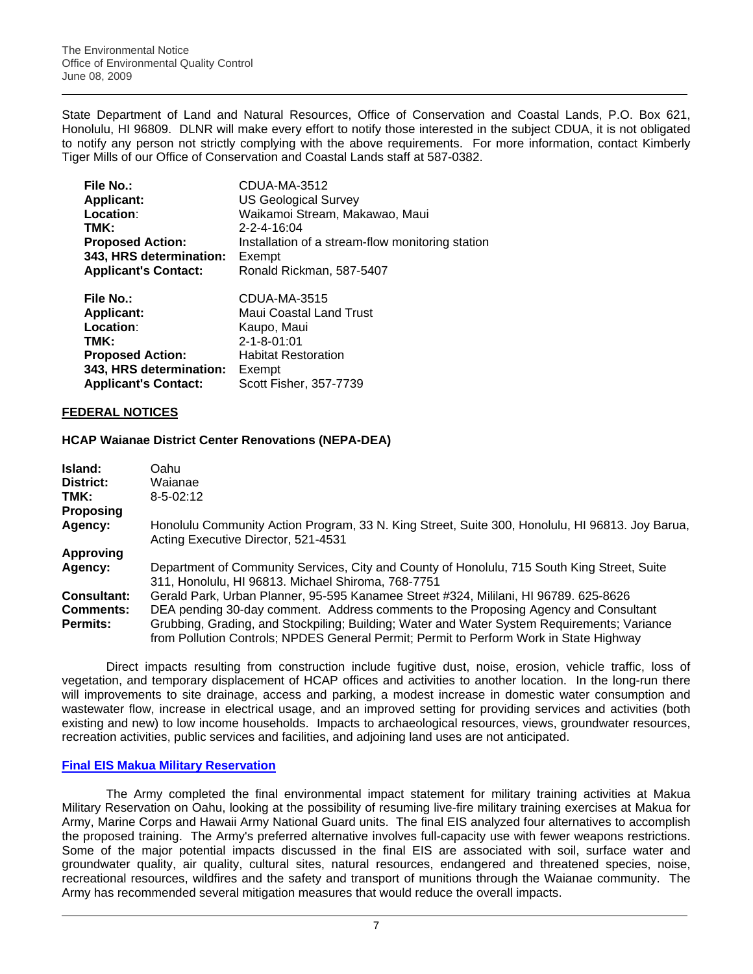State Department of Land and Natural Resources, Office of Conservation and Coastal Lands, P.O. Box 621, Honolulu, HI 96809. DLNR will make every effort to notify those interested in the subject CDUA, it is not obligated to notify any person not strictly complying with the above requirements. For more information, contact Kimberly Tiger Mills of our Office of Conservation and Coastal Lands staff at 587-0382.

| <b>File No.:</b>            | CDUA-MA-3512                                     |
|-----------------------------|--------------------------------------------------|
| <b>Applicant:</b>           | <b>US Geological Survey</b>                      |
| Location:                   | Waikamoi Stream, Makawao, Maui                   |
| TMK:                        | $2 - 2 - 4 - 16:04$                              |
| <b>Proposed Action:</b>     | Installation of a stream-flow monitoring station |
| 343, HRS determination:     | Exempt                                           |
| <b>Applicant's Contact:</b> | Ronald Rickman, 587-5407                         |
| <b>File No.:</b>            | CDUA-MA-3515                                     |
| <b>Applicant:</b>           | Maui Coastal Land Trust                          |
| Location:                   | Kaupo, Maui                                      |
| TMK.                        | $2 - 1 - 8 - 01 - 01$                            |

| TMK:                        | $2 - 1 - 8 - 01:01$        |
|-----------------------------|----------------------------|
| <b>Proposed Action:</b>     | <b>Habitat Restoration</b> |
| 343, HRS determination:     | Exempt                     |
| <b>Applicant's Contact:</b> | Scott Fisher, 357-7739     |
|                             |                            |

## **FEDERAL NOTICES**

### **HCAP Waianae District Center Renovations (NEPA-DEA)**

| Island:            | Oahu                                                                                                                                                                                  |
|--------------------|---------------------------------------------------------------------------------------------------------------------------------------------------------------------------------------|
| District:          | Waianae                                                                                                                                                                               |
| TMK:               | $8 - 5 - 02:12$                                                                                                                                                                       |
| Proposing          |                                                                                                                                                                                       |
| Agency:            | Honolulu Community Action Program, 33 N. King Street, Suite 300, Honolulu, HI 96813. Joy Barua,<br>Acting Executive Director, 521-4531                                                |
| <b>Approving</b>   |                                                                                                                                                                                       |
| Agency:            | Department of Community Services, City and County of Honolulu, 715 South King Street, Suite<br>311, Honolulu, HI 96813. Michael Shiroma, 768-7751                                     |
| <b>Consultant:</b> | Gerald Park, Urban Planner, 95-595 Kanamee Street #324, Mililani, HI 96789. 625-8626                                                                                                  |
| Comments:          | DEA pending 30-day comment. Address comments to the Proposing Agency and Consultant                                                                                                   |
| <b>Permits:</b>    | Grubbing, Grading, and Stockpiling; Building; Water and Water System Requirements; Variance<br>from Pollution Controls; NPDES General Permit; Permit to Perform Work in State Highway |

Direct impacts resulting from construction include fugitive dust, noise, erosion, vehicle traffic, loss of vegetation, and temporary displacement of HCAP offices and activities to another location. In the long-run there will improvements to site drainage, access and parking, a modest increase in domestic water consumption and wastewater flow, increase in electrical usage, and an improved setting for providing services and activities (both existing and new) to low income households. Impacts to archaeological resources, views, groundwater resources, recreation activities, public services and facilities, and adjoining land uses are not anticipated.

#### **[Final EIS Makua Military Reservation](http://www.garrison.hawaii.army.mil/MakuaEIS/index.html)**

The Army completed the final environmental impact statement for military training activities at Makua Military Reservation on Oahu, looking at the possibility of resuming live-fire military training exercises at Makua for Army, Marine Corps and Hawaii Army National Guard units. The final EIS analyzed four alternatives to accomplish the proposed training. The Army's preferred alternative involves full-capacity use with fewer weapons restrictions. Some of the major potential impacts discussed in the final EIS are associated with soil, surface water and groundwater quality, air quality, cultural sites, natural resources, endangered and threatened species, noise, recreational resources, wildfires and the safety and transport of munitions through the Waianae community. The Army has recommended several mitigation measures that would reduce the overall impacts.